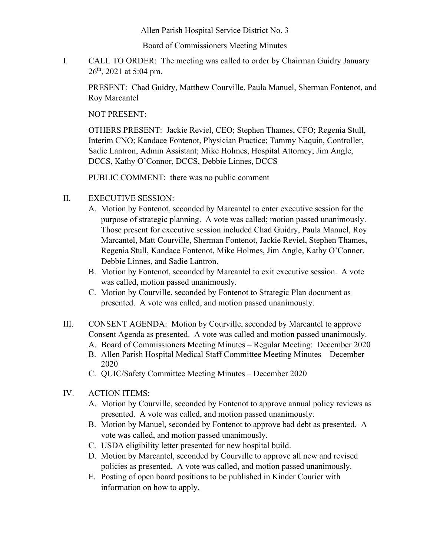Allen Parish Hospital Service District No. 3

Board of Commissioners Meeting Minutes

I. CALL TO ORDER: The meeting was called to order by Chairman Guidry January  $26<sup>th</sup>$ , 2021 at 5:04 pm.

PRESENT: Chad Guidry, Matthew Courville, Paula Manuel, Sherman Fontenot, and Roy Marcantel

NOT PRESENT:

OTHERS PRESENT: Jackie Reviel, CEO; Stephen Thames, CFO; Regenia Stull, Interim CNO; Kandace Fontenot, Physician Practice; Tammy Naquin, Controller, Sadie Lantron, Admin Assistant; Mike Holmes, Hospital Attorney, Jim Angle, DCCS, Kathy O'Connor, DCCS, Debbie Linnes, DCCS

PUBLIC COMMENT: there was no public comment

- II. EXECUTIVE SESSION:
	- A. Motion by Fontenot, seconded by Marcantel to enter executive session for the purpose of strategic planning. A vote was called; motion passed unanimously. Those present for executive session included Chad Guidry, Paula Manuel, Roy Marcantel, Matt Courville, Sherman Fontenot, Jackie Reviel, Stephen Thames, Regenia Stull, Kandace Fontenot, Mike Holmes, Jim Angle, Kathy O'Conner, Debbie Linnes, and Sadie Lantron.
	- B. Motion by Fontenot, seconded by Marcantel to exit executive session. A vote was called, motion passed unanimously.
	- C. Motion by Courville, seconded by Fontenot to Strategic Plan document as presented. A vote was called, and motion passed unanimously.
- III. CONSENT AGENDA: Motion by Courville, seconded by Marcantel to approve Consent Agenda as presented. A vote was called and motion passed unanimously. A. Board of Commissioners Meeting Minutes – Regular Meeting: December 2020
	- B. Allen Parish Hospital Medical Staff Committee Meeting Minutes December
	- 2020 C. QUIC/Safety Committee Meeting Minutes – December 2020
- IV. ACTION ITEMS:
	- A. Motion by Courville, seconded by Fontenot to approve annual policy reviews as presented. A vote was called, and motion passed unanimously.
	- B. Motion by Manuel, seconded by Fontenot to approve bad debt as presented. A vote was called, and motion passed unanimously.
	- C. USDA eligibility letter presented for new hospital build.
	- D. Motion by Marcantel, seconded by Courville to approve all new and revised policies as presented. A vote was called, and motion passed unanimously.
	- E. Posting of open board positions to be published in Kinder Courier with information on how to apply.